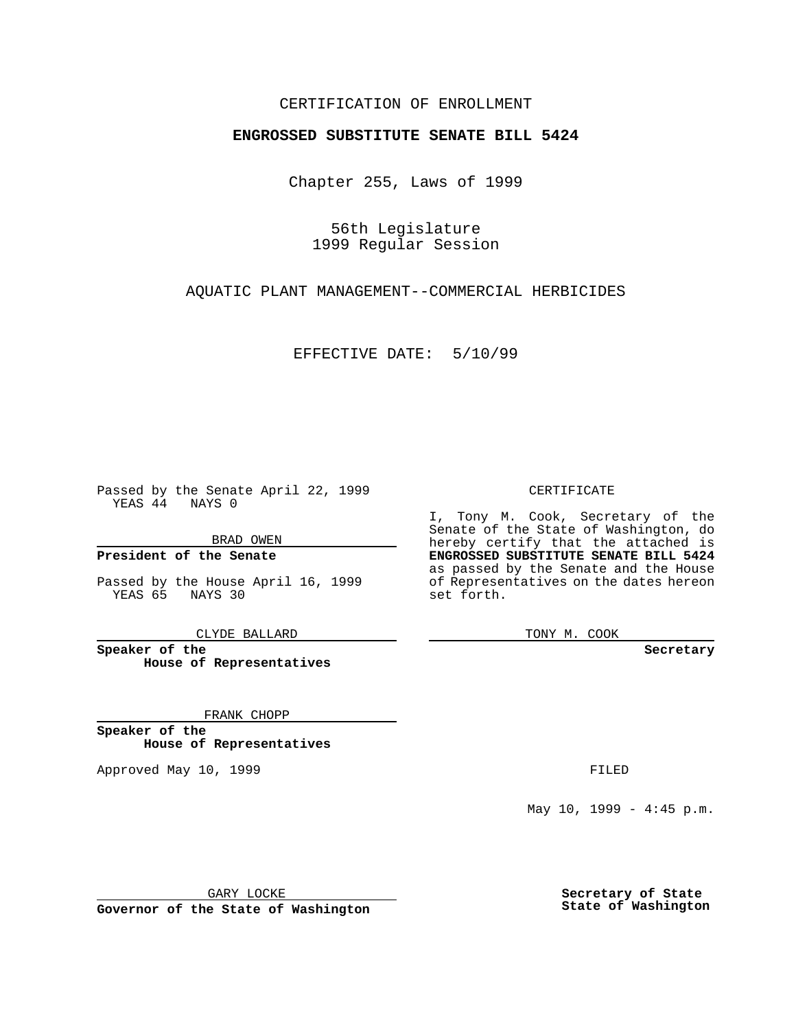### CERTIFICATION OF ENROLLMENT

# **ENGROSSED SUBSTITUTE SENATE BILL 5424**

Chapter 255, Laws of 1999

56th Legislature 1999 Regular Session

AQUATIC PLANT MANAGEMENT--COMMERCIAL HERBICIDES

EFFECTIVE DATE: 5/10/99

Passed by the Senate April 22, 1999 YEAS 44 NAYS 0

BRAD OWEN

**President of the Senate**

Passed by the House April 16, 1999 YEAS 65 NAYS 30

CLYDE BALLARD

**Speaker of the House of Representatives**

FRANK CHOPP

**Speaker of the House of Representatives**

Approved May 10, 1999 **FILED** 

#### CERTIFICATE

I, Tony M. Cook, Secretary of the Senate of the State of Washington, do hereby certify that the attached is **ENGROSSED SUBSTITUTE SENATE BILL 5424** as passed by the Senate and the House of Representatives on the dates hereon set forth.

TONY M. COOK

**Secretary**

May  $10$ ,  $1999 - 4:45$  p.m.

GARY LOCKE

**Governor of the State of Washington**

**Secretary of State State of Washington**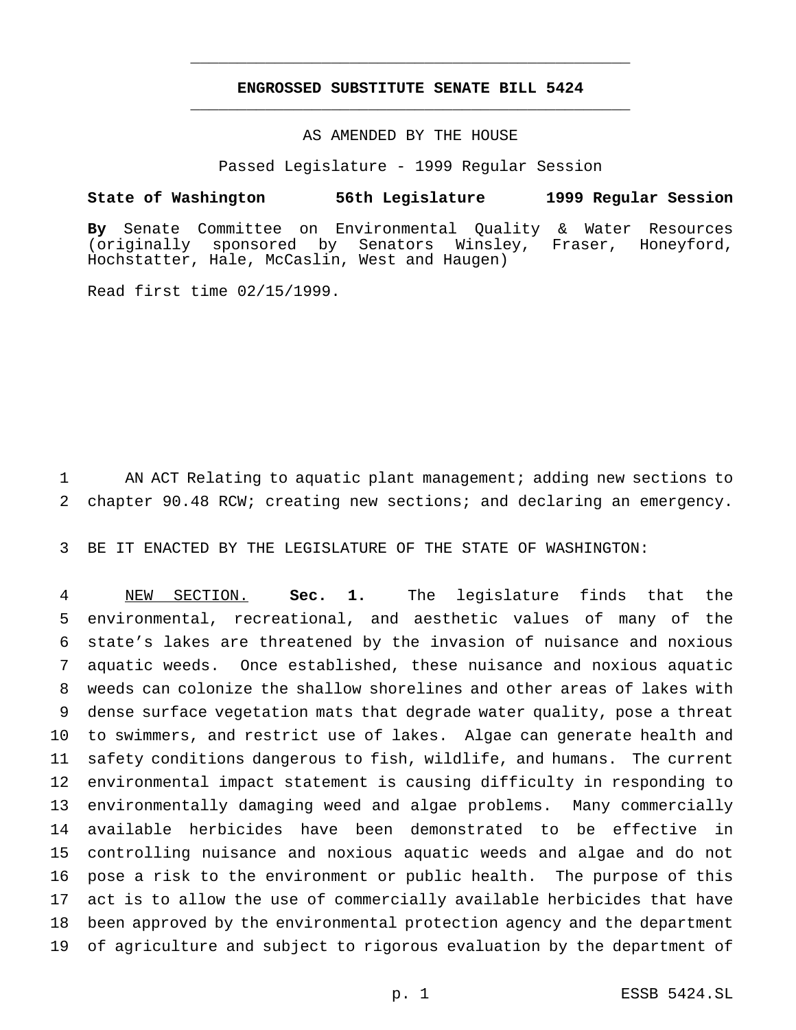## **ENGROSSED SUBSTITUTE SENATE BILL 5424** \_\_\_\_\_\_\_\_\_\_\_\_\_\_\_\_\_\_\_\_\_\_\_\_\_\_\_\_\_\_\_\_\_\_\_\_\_\_\_\_\_\_\_\_\_\_\_

\_\_\_\_\_\_\_\_\_\_\_\_\_\_\_\_\_\_\_\_\_\_\_\_\_\_\_\_\_\_\_\_\_\_\_\_\_\_\_\_\_\_\_\_\_\_\_

### AS AMENDED BY THE HOUSE

Passed Legislature - 1999 Regular Session

#### **State of Washington 56th Legislature 1999 Regular Session**

**By** Senate Committee on Environmental Quality & Water Resources (originally sponsored by Senators Winsley, Fraser, Honeyford, Hochstatter, Hale, McCaslin, West and Haugen)

Read first time 02/15/1999.

 AN ACT Relating to aquatic plant management; adding new sections to chapter 90.48 RCW; creating new sections; and declaring an emergency.

BE IT ENACTED BY THE LEGISLATURE OF THE STATE OF WASHINGTON:

 NEW SECTION. **Sec. 1.** The legislature finds that the environmental, recreational, and aesthetic values of many of the state's lakes are threatened by the invasion of nuisance and noxious aquatic weeds. Once established, these nuisance and noxious aquatic weeds can colonize the shallow shorelines and other areas of lakes with dense surface vegetation mats that degrade water quality, pose a threat to swimmers, and restrict use of lakes. Algae can generate health and safety conditions dangerous to fish, wildlife, and humans. The current environmental impact statement is causing difficulty in responding to environmentally damaging weed and algae problems. Many commercially available herbicides have been demonstrated to be effective in controlling nuisance and noxious aquatic weeds and algae and do not pose a risk to the environment or public health. The purpose of this act is to allow the use of commercially available herbicides that have been approved by the environmental protection agency and the department of agriculture and subject to rigorous evaluation by the department of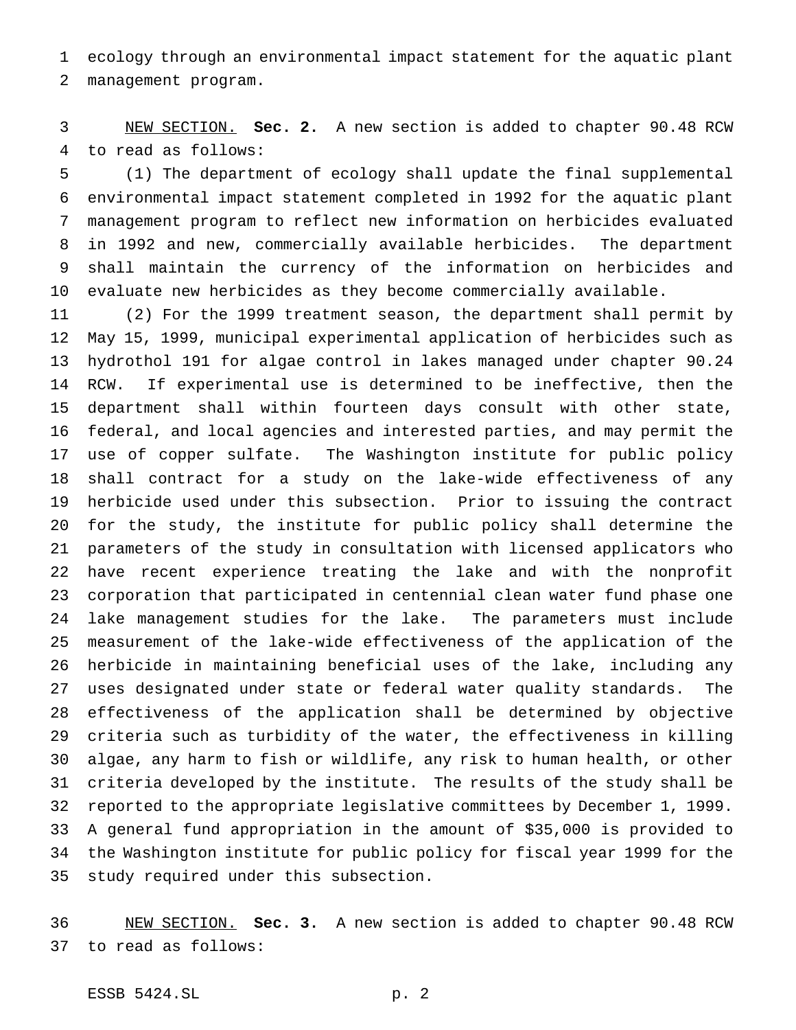ecology through an environmental impact statement for the aquatic plant management program.

 NEW SECTION. **Sec. 2.** A new section is added to chapter 90.48 RCW to read as follows:

 (1) The department of ecology shall update the final supplemental environmental impact statement completed in 1992 for the aquatic plant management program to reflect new information on herbicides evaluated in 1992 and new, commercially available herbicides. The department shall maintain the currency of the information on herbicides and evaluate new herbicides as they become commercially available.

 (2) For the 1999 treatment season, the department shall permit by May 15, 1999, municipal experimental application of herbicides such as hydrothol 191 for algae control in lakes managed under chapter 90.24 RCW. If experimental use is determined to be ineffective, then the department shall within fourteen days consult with other state, federal, and local agencies and interested parties, and may permit the use of copper sulfate. The Washington institute for public policy shall contract for a study on the lake-wide effectiveness of any herbicide used under this subsection. Prior to issuing the contract for the study, the institute for public policy shall determine the parameters of the study in consultation with licensed applicators who have recent experience treating the lake and with the nonprofit corporation that participated in centennial clean water fund phase one lake management studies for the lake. The parameters must include measurement of the lake-wide effectiveness of the application of the herbicide in maintaining beneficial uses of the lake, including any uses designated under state or federal water quality standards. The effectiveness of the application shall be determined by objective criteria such as turbidity of the water, the effectiveness in killing algae, any harm to fish or wildlife, any risk to human health, or other criteria developed by the institute. The results of the study shall be reported to the appropriate legislative committees by December 1, 1999. A general fund appropriation in the amount of \$35,000 is provided to the Washington institute for public policy for fiscal year 1999 for the study required under this subsection.

 NEW SECTION. **Sec. 3.** A new section is added to chapter 90.48 RCW to read as follows:

ESSB 5424.SL p. 2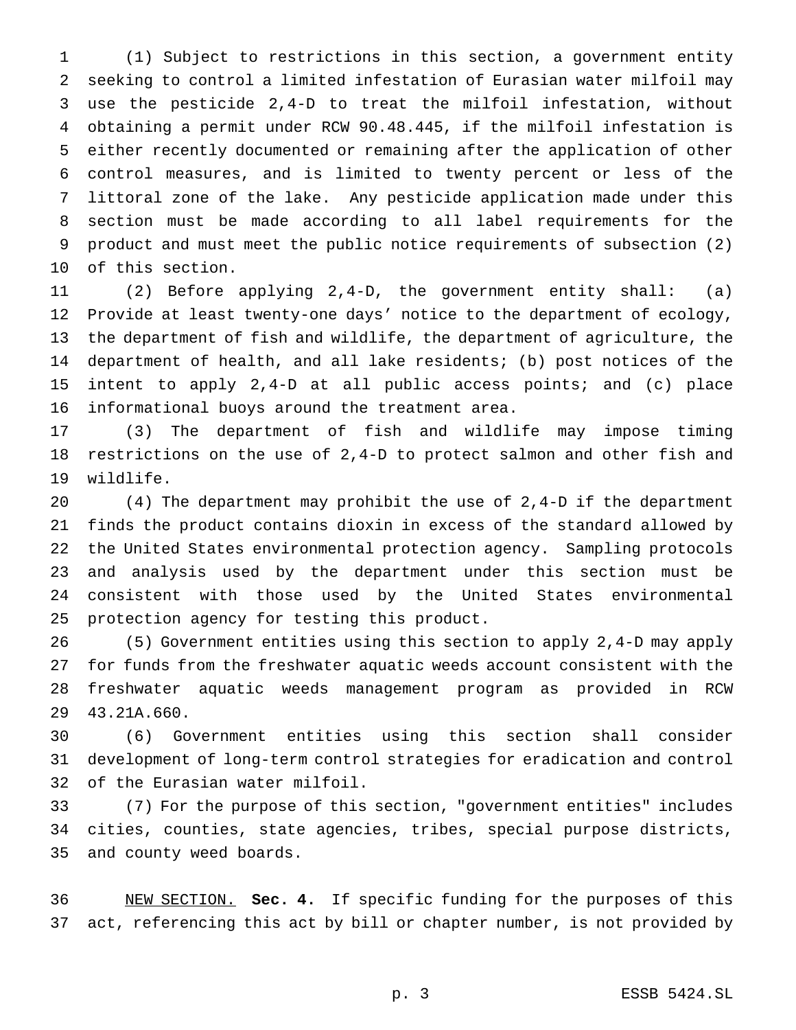(1) Subject to restrictions in this section, a government entity seeking to control a limited infestation of Eurasian water milfoil may use the pesticide 2,4-D to treat the milfoil infestation, without obtaining a permit under RCW 90.48.445, if the milfoil infestation is either recently documented or remaining after the application of other control measures, and is limited to twenty percent or less of the littoral zone of the lake. Any pesticide application made under this section must be made according to all label requirements for the product and must meet the public notice requirements of subsection (2) of this section.

 (2) Before applying 2,4-D, the government entity shall: (a) Provide at least twenty-one days' notice to the department of ecology, the department of fish and wildlife, the department of agriculture, the department of health, and all lake residents; (b) post notices of the intent to apply 2,4-D at all public access points; and (c) place informational buoys around the treatment area.

 (3) The department of fish and wildlife may impose timing restrictions on the use of 2,4-D to protect salmon and other fish and wildlife.

 (4) The department may prohibit the use of 2,4-D if the department finds the product contains dioxin in excess of the standard allowed by the United States environmental protection agency. Sampling protocols and analysis used by the department under this section must be consistent with those used by the United States environmental protection agency for testing this product.

 (5) Government entities using this section to apply 2,4-D may apply for funds from the freshwater aquatic weeds account consistent with the freshwater aquatic weeds management program as provided in RCW 43.21A.660.

 (6) Government entities using this section shall consider development of long-term control strategies for eradication and control of the Eurasian water milfoil.

 (7) For the purpose of this section, "government entities" includes cities, counties, state agencies, tribes, special purpose districts, and county weed boards.

 NEW SECTION. **Sec. 4.** If specific funding for the purposes of this act, referencing this act by bill or chapter number, is not provided by